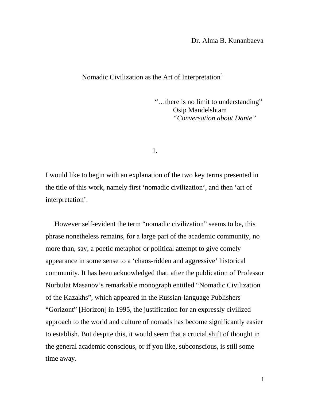Dr. Alma B. Kunanbaeva

## Nomadic Civilization as the Art of Interpretation<sup>[1](#page-16-0)</sup>

"…there is no limit to understanding" Osip Mandelshtam *"Conversation about Dante"*

1.

I would like to begin with an explanation of the two key terms presented in the title of this work, namely first 'nomadic civilization', and then 'art of interpretation'.

 However self-evident the term "nomadic civilization" seems to be, this phrase nonetheless remains, for a large part of the academic community, no more than, say, a poetic metaphor or political attempt to give comely appearance in some sense to a 'chaos-ridden and aggressive' historical community. It has been acknowledged that, after the publication of Professor Nurbulat Masanov's remarkable monograph entitled "Nomadic Civilization of the Kazakhs", which appeared in the Russian-language Publishers "Gorizont" [Horizon] in 1995, the justification for an expressly civilized approach to the world and culture of nomads has become significantly easier to establish. But despite this, it would seem that a crucial shift of thought in the general academic conscious, or if you like, subconscious, is still some time away.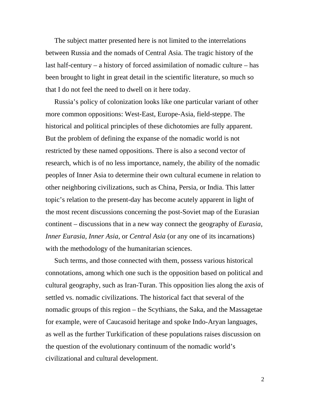The subject matter presented here is not limited to the interrelations between Russia and the nomads of Central Asia. The tragic history of the last half-century – a history of forced assimilation of nomadic culture – has been brought to light in great detail in the scientific literature, so much so that I do not feel the need to dwell on it here today.

 Russia's policy of colonization looks like one particular variant of other more common oppositions: West-East, Europe-Asia, field-steppe. The historical and political principles of these dichotomies are fully apparent. But the problem of defining the expanse of the nomadic world is not restricted by these named oppositions. There is also a second vector of research, which is of no less importance, namely, the ability of the nomadic peoples of Inner Asia to determine their own cultural ecumene in relation to other neighboring civilizations, such as China, Persia, or India. This latter topic's relation to the present-day has become acutely apparent in light of the most recent discussions concerning the post-Soviet map of the Eurasian continent – discussions that in a new way connect the geography of *Eurasia*, *Inner Eurasia*, *Inner Asia*, or *Central Asia* (or any one of its incarnations) with the methodology of the humanitarian sciences.

 Such terms, and those connected with them, possess various historical connotations, among which one such is the opposition based on political and cultural geography, such as Iran-Turan. This opposition lies along the axis of settled vs. nomadic civilizations. The historical fact that several of the nomadic groups of this region – the Scythians, the Saka, and the Massagetae for example, were of Caucasoid heritage and spoke Indo-Aryan languages, as well as the further Turkification of these populations raises discussion on the question of the evolutionary continuum of the nomadic world's civilizational and cultural development.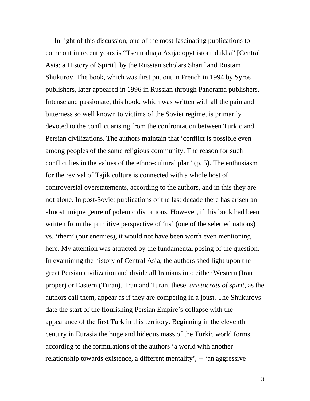In light of this discussion, one of the most fascinating publications to come out in recent years is "Tsentralnaja Azija: opyt istorii dukha" [Central Asia: a History of Spirit], by the Russian scholars Sharif and Rustam Shukurov. The book, which was first put out in French in 1994 by Syros publishers, later appeared in 1996 in Russian through Panorama publishers. Intense and passionate, this book, which was written with all the pain and bitterness so well known to victims of the Soviet regime, is primarily devoted to the conflict arising from the confrontation between Turkic and Persian civilizations. The authors maintain that 'conflict is possible even among peoples of the same religious community. The reason for such conflict lies in the values of the ethno-cultural plan' (p. 5). The enthusiasm for the revival of Tajik culture is connected with a whole host of controversial overstatements, according to the authors, and in this they are not alone. In post-Soviet publications of the last decade there has arisen an almost unique genre of polemic distortions. However, if this book had been written from the primitive perspective of 'us' (one of the selected nations) vs. 'them' (our enemies), it would not have been worth even mentioning here. My attention was attracted by the fundamental posing of the question. In examining the history of Central Asia, the authors shed light upon the great Persian civilization and divide all Iranians into either Western (Iran proper) or Eastern (Turan). Iran and Turan, these, *aristocrats of spirit*, as the authors call them, appear as if they are competing in a joust. The Shukurovs date the start of the flourishing Persian Empire's collapse with the appearance of the first Turk in this territory. Beginning in the eleventh century in Eurasia the huge and hideous mass of the Turkic world forms, according to the formulations of the authors 'a world with another relationship towards existence, a different mentality', -- 'an aggressive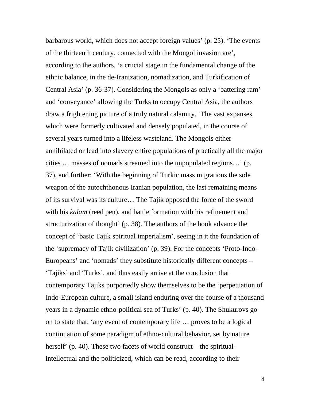barbarous world, which does not accept foreign values' (p. 25). 'The events of the thirteenth century, connected with the Mongol invasion are', according to the authors, 'a crucial stage in the fundamental change of the ethnic balance, in the de-Iranization, nomadization, and Turkification of Central Asia' (p. 36-37). Considering the Mongols as only a 'battering ram' and 'conveyance' allowing the Turks to occupy Central Asia, the authors draw a frightening picture of a truly natural calamity. 'The vast expanses, which were formerly cultivated and densely populated, in the course of several years turned into a lifeless wasteland. The Mongols either annihilated or lead into slavery entire populations of practically all the major cities … masses of nomads streamed into the unpopulated regions…' (p. 37), and further: 'With the beginning of Turkic mass migrations the sole weapon of the autochthonous Iranian population, the last remaining means of its survival was its culture… The Tajik opposed the force of the sword with his *kalam* (reed pen), and battle formation with his refinement and structurization of thought' (p. 38). The authors of the book advance the concept of 'basic Tajik spiritual imperialism', seeing in it the foundation of the 'supremacy of Tajik civilization' (p. 39). For the concepts 'Proto-Indo-Europeans' and 'nomads' they substitute historically different concepts – 'Tajiks' and 'Turks', and thus easily arrive at the conclusion that contemporary Tajiks purportedly show themselves to be the 'perpetuation of Indo-European culture, a small island enduring over the course of a thousand years in a dynamic ethno-political sea of Turks' (p. 40). The Shukurovs go on to state that, 'any event of contemporary life … proves to be a logical continuation of some paradigm of ethno-cultural behavior, set by nature herself' (p. 40). These two facets of world construct – the spiritualintellectual and the politicized, which can be read, according to their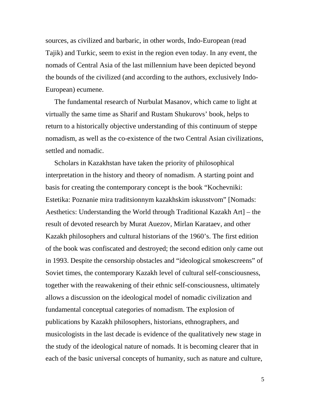sources, as civilized and barbaric, in other words, Indo-European (read Tajik) and Turkic, seem to exist in the region even today. In any event, the nomads of Central Asia of the last millennium have been depicted beyond the bounds of the civilized (and according to the authors, exclusively Indo-European) ecumene.

 The fundamental research of Nurbulat Masanov, which came to light at virtually the same time as Sharif and Rustam Shukurovs' book, helps to return to a historically objective understanding of this continuum of steppe nomadism, as well as the co-existence of the two Central Asian civilizations, settled and nomadic.

 Scholars in Kazakhstan have taken the priority of philosophical interpretation in the history and theory of nomadism. A starting point and basis for creating the contemporary concept is the book "Kochevniki: Estetika: Poznanie mira traditsionnym kazakhskim iskusstvom" [Nomads: Aesthetics: Understanding the World through Traditional Kazakh Art] – the result of devoted research by Murat Auezov, Mirlan Karataev, and other Kazakh philosophers and cultural historians of the 1960's. The first edition of the book was confiscated and destroyed; the second edition only came out in 1993. Despite the censorship obstacles and "ideological smokescreens" of Soviet times, the contemporary Kazakh level of cultural self-consciousness, together with the reawakening of their ethnic self-consciousness, ultimately allows a discussion on the ideological model of nomadic civilization and fundamental conceptual categories of nomadism. The explosion of publications by Kazakh philosophers, historians, ethnographers, and musicologists in the last decade is evidence of the qualitatively new stage in the study of the ideological nature of nomads. It is becoming clearer that in each of the basic universal concepts of humanity, such as nature and culture,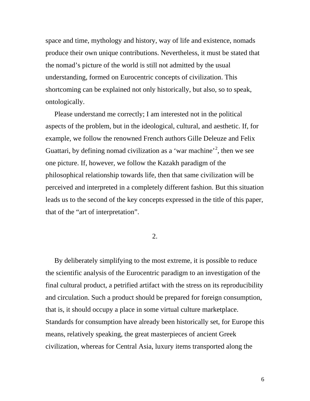space and time, mythology and history, way of life and existence, nomads produce their own unique contributions. Nevertheless, it must be stated that the nomad's picture of the world is still not admitted by the usual understanding, formed on Eurocentric concepts of civilization. This shortcoming can be explained not only historically, but also, so to speak, ontologically.

 Please understand me correctly; I am interested not in the political aspects of the problem, but in the ideological, cultural, and aesthetic. If, for example, we follow the renowned French authors Gille Deleuze and Felix Guattari, by defining nomad civilization as a 'war machine'<sup>[2](#page-16-1)</sup>, then we see one picture. If, however, we follow the Kazakh paradigm of the philosophical relationship towards life, then that same civilization will be perceived and interpreted in a completely different fashion. But this situation leads us to the second of the key concepts expressed in the title of this paper, that of the "art of interpretation".

2.

 By deliberately simplifying to the most extreme, it is possible to reduce the scientific analysis of the Eurocentric paradigm to an investigation of the final cultural product, a petrified artifact with the stress on its reproducibility and circulation. Such a product should be prepared for foreign consumption, that is, it should occupy a place in some virtual culture marketplace. Standards for consumption have already been historically set, for Europe this means, relatively speaking, the great masterpieces of ancient Greek civilization, whereas for Central Asia, luxury items transported along the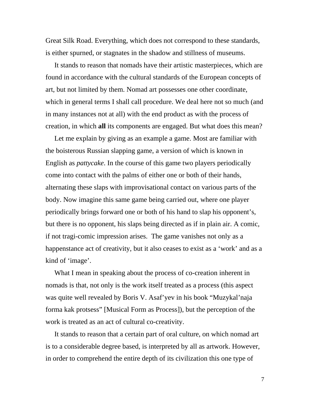Great Silk Road. Everything, which does not correspond to these standards, is either spurned, or stagnates in the shadow and stillness of museums.

 It stands to reason that nomads have their artistic masterpieces, which are found in accordance with the cultural standards of the European concepts of art, but not limited by them. Nomad art possesses one other coordinate, which in general terms I shall call procedure. We deal here not so much (and in many instances not at all) with the end product as with the process of creation, in which **all** its components are engaged. But what does this mean?

 Let me explain by giving as an example a game. Most are familiar with the boisterous Russian slapping game, a version of which is known in English as *pattycake*. In the course of this game two players periodically come into contact with the palms of either one or both of their hands, alternating these slaps with improvisational contact on various parts of the body. Now imagine this same game being carried out, where one player periodically brings forward one or both of his hand to slap his opponent's, but there is no opponent, his slaps being directed as if in plain air. A comic, if not tragi-comic impression arises. The game vanishes not only as a happenstance act of creativity, but it also ceases to exist as a 'work' and as a kind of 'image'.

 What I mean in speaking about the process of co-creation inherent in nomads is that, not only is the work itself treated as a process (this aspect was quite well revealed by Boris V. Asaf'yev in his book "Muzykal'naja forma kak protsess" [Musical Form as Process]), but the perception of the work is treated as an act of cultural co-creativity.

 It stands to reason that a certain part of oral culture, on which nomad art is to a considerable degree based, is interpreted by all as artwork. However, in order to comprehend the entire depth of its civilization this one type of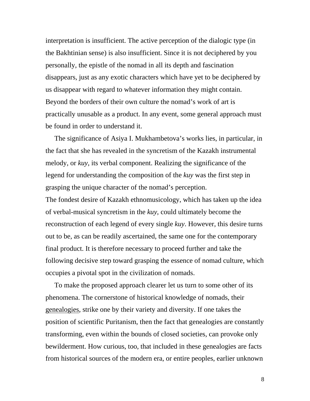interpretation is insufficient. The active perception of the dialogic type (in the Bakhtinian sense) is also insufficient. Since it is not deciphered by you personally, the epistle of the nomad in all its depth and fascination disappears, just as any exotic characters which have yet to be deciphered by us disappear with regard to whatever information they might contain. Beyond the borders of their own culture the nomad's work of art is practically unusable as a product. In any event, some general approach must be found in order to understand it.

 The significance of Asiya I. Mukhambetova's works lies, in particular, in the fact that she has revealed in the syncretism of the Kazakh instrumental melody, or *kuy*, its verbal component. Realizing the significance of the legend for understanding the composition of the *kuy* was the first step in grasping the unique character of the nomad's perception. The fondest desire of Kazakh ethnomusicology, which has taken up the idea of verbal-musical syncretism in the *kuy*, could ultimately become the reconstruction of each legend of every single *kuy*. However, this desire turns out to be, as can be readily ascertained, the same one for the contemporary final product. It is therefore necessary to proceed further and take the following decisive step toward grasping the essence of nomad culture, which occupies a pivotal spot in the civilization of nomads.

 To make the proposed approach clearer let us turn to some other of its phenomena. The cornerstone of historical knowledge of nomads, their genealogies, strike one by their variety and diversity. If one takes the position of scientific Puritanism, then the fact that genealogies are constantly transforming, even within the bounds of closed societies, can provoke only bewilderment. How curious, too, that included in these genealogies are facts from historical sources of the modern era, or entire peoples, earlier unknown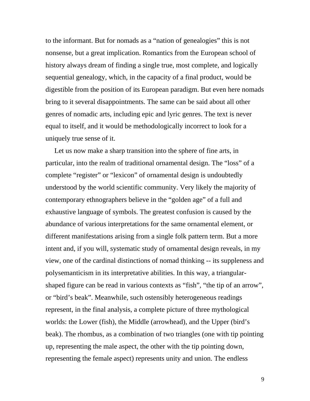to the informant. But for nomads as a "nation of genealogies" this is not nonsense, but a great implication. Romantics from the European school of history always dream of finding a single true, most complete, and logically sequential genealogy, which, in the capacity of a final product, would be digestible from the position of its European paradigm. But even here nomads bring to it several disappointments. The same can be said about all other genres of nomadic arts, including epic and lyric genres. The text is never equal to itself, and it would be methodologically incorrect to look for a uniquely true sense of it.

 Let us now make a sharp transition into the sphere of fine arts, in particular, into the realm of traditional ornamental design. The "loss" of a complete "register" or "lexicon" of ornamental design is undoubtedly understood by the world scientific community. Very likely the majority of contemporary ethnographers believe in the "golden age" of a full and exhaustive language of symbols. The greatest confusion is caused by the abundance of various interpretations for the same ornamental element, or different manifestations arising from a single folk pattern term. But a more intent and, if you will, systematic study of ornamental design reveals, in my view, one of the cardinal distinctions of nomad thinking -- its suppleness and polysemanticism in its interpretative abilities. In this way, a triangularshaped figure can be read in various contexts as "fish", "the tip of an arrow", or "bird's beak". Meanwhile, such ostensibly heterogeneous readings represent, in the final analysis, a complete picture of three mythological worlds: the Lower (fish), the Middle (arrowhead), and the Upper (bird's beak). The rhombus, as a combination of two triangles (one with tip pointing up, representing the male aspect, the other with the tip pointing down, representing the female aspect) represents unity and union. The endless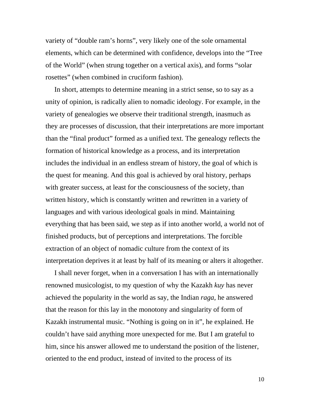variety of "double ram's horns", very likely one of the sole ornamental elements, which can be determined with confidence, develops into the "Tree of the World" (when strung together on a vertical axis), and forms "solar rosettes" (when combined in cruciform fashion).

 In short, attempts to determine meaning in a strict sense, so to say as a unity of opinion, is radically alien to nomadic ideology. For example, in the variety of genealogies we observe their traditional strength, inasmuch as they are processes of discussion, that their interpretations are more important than the "final product" formed as a unified text. The genealogy reflects the formation of historical knowledge as a process, and its interpretation includes the individual in an endless stream of history, the goal of which is the quest for meaning. And this goal is achieved by oral history, perhaps with greater success, at least for the consciousness of the society, than written history, which is constantly written and rewritten in a variety of languages and with various ideological goals in mind. Maintaining everything that has been said, we step as if into another world, a world not of finished products, but of perceptions and interpretations. The forcible extraction of an object of nomadic culture from the context of its interpretation deprives it at least by half of its meaning or alters it altogether.

 I shall never forget, when in a conversation I has with an internationally renowned musicologist, to my question of why the Kazakh *kuy* has never achieved the popularity in the world as say, the Indian *raga*, he answered that the reason for this lay in the monotony and singularity of form of Kazakh instrumental music. "Nothing is going on in it", he explained. He couldn't have said anything more unexpected for me. But I am grateful to him, since his answer allowed me to understand the position of the listener, oriented to the end product, instead of invited to the process of its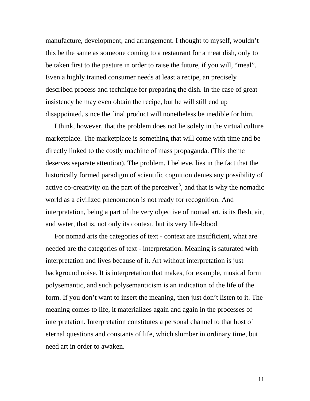manufacture, development, and arrangement. I thought to myself, wouldn't this be the same as someone coming to a restaurant for a meat dish, only to be taken first to the pasture in order to raise the future, if you will, "meal". Even a highly trained consumer needs at least a recipe, an precisely described process and technique for preparing the dish. In the case of great insistency he may even obtain the recipe, but he will still end up disappointed, since the final product will nonetheless be inedible for him.

 I think, however, that the problem does not lie solely in the virtual culture marketplace. The marketplace is something that will come with time and be directly linked to the costly machine of mass propaganda. (This theme deserves separate attention). The problem, I believe, lies in the fact that the historically formed paradigm of scientific cognition denies any possibility of active co-creativity on the part of the perceiver<sup>[3](#page-16-2)</sup>, and that is why the nomadic world as a civilized phenomenon is not ready for recognition. And interpretation, being a part of the very objective of nomad art, is its flesh, air, and water, that is, not only its context, but its very life-blood.

 For nomad arts the categories of text - context are insufficient, what are needed are the categories of text - interpretation. Meaning is saturated with interpretation and lives because of it. Art without interpretation is just background noise. It is interpretation that makes, for example, musical form polysemantic, and such polysemanticism is an indication of the life of the form. If you don't want to insert the meaning, then just don't listen to it. The meaning comes to life, it materializes again and again in the processes of interpretation. Interpretation constitutes a personal channel to that host of eternal questions and constants of life, which slumber in ordinary time, but need art in order to awaken.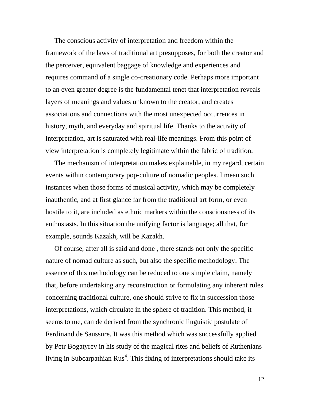The conscious activity of interpretation and freedom within the framework of the laws of traditional art presupposes, for both the creator and the perceiver, equivalent baggage of knowledge and experiences and requires command of a single co-creationary code. Perhaps more important to an even greater degree is the fundamental tenet that interpretation reveals layers of meanings and values unknown to the creator, and creates associations and connections with the most unexpected occurrences in history, myth, and everyday and spiritual life. Thanks to the activity of interpretation, art is saturated with real-life meanings. From this point of view interpretation is completely legitimate within the fabric of tradition.

 The mechanism of interpretation makes explainable, in my regard, certain events within contemporary pop-culture of nomadic peoples. I mean such instances when those forms of musical activity, which may be completely inauthentic, and at first glance far from the traditional art form, or even hostile to it, are included as ethnic markers within the consciousness of its enthusiasts. In this situation the unifying factor is language; all that, for example, sounds Kazakh, will be Kazakh.

 Of course, after all is said and done , there stands not only the specific nature of nomad culture as such, but also the specific methodology. The essence of this methodology can be reduced to one simple claim, namely that, before undertaking any reconstruction or formulating any inherent rules concerning traditional culture, one should strive to fix in succession those interpretations, which circulate in the sphere of tradition. This method, it seems to me, can de derived from the synchronic linguistic postulate of Ferdinand de Saussure. It was this method which was successfully applied by Petr Bogatyrev in his study of the magical rites and beliefs of Ruthenians living in Subcarpathian  $Rus<sup>4</sup>$  $Rus<sup>4</sup>$  $Rus<sup>4</sup>$ . This fixing of interpretations should take its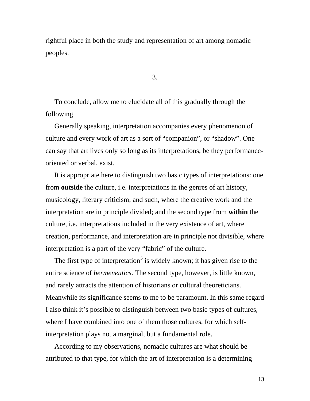rightful place in both the study and representation of art among nomadic peoples.

3.

 To conclude, allow me to elucidate all of this gradually through the following.

 Generally speaking, interpretation accompanies every phenomenon of culture and every work of art as a sort of "companion", or "shadow". One can say that art lives only so long as its interpretations, be they performanceoriented or verbal, exist.

 It is appropriate here to distinguish two basic types of interpretations: one from **outside** the culture, i.e. interpretations in the genres of art history, musicology, literary criticism, and such, where the creative work and the interpretation are in principle divided; and the second type from **within** the culture, i.e. interpretations included in the very existence of art, where creation, performance, and interpretation are in principle not divisible, where interpretation is a part of the very "fabric" of the culture.

The first type of interpretation<sup>[5](#page-16-4)</sup> is widely known; it has given rise to the entire science of *hermeneutics*. The second type, however, is little known, and rarely attracts the attention of historians or cultural theoreticians. Meanwhile its significance seems to me to be paramount. In this same regard I also think it's possible to distinguish between two basic types of cultures, where I have combined into one of them those cultures, for which selfinterpretation plays not a marginal, but a fundamental role.

 According to my observations, nomadic cultures are what should be attributed to that type, for which the art of interpretation is a determining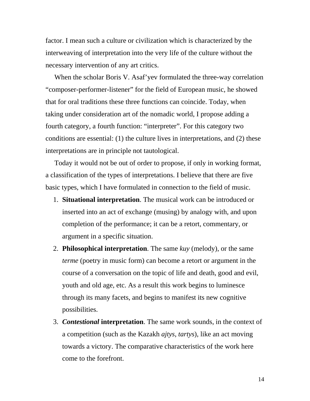factor. I mean such a culture or civilization which is characterized by the interweaving of interpretation into the very life of the culture without the necessary intervention of any art critics.

 When the scholar Boris V. Asaf'yev formulated the three-way correlation "composer-performer-listener" for the field of European music, he showed that for oral traditions these three functions can coincide. Today, when taking under consideration art of the nomadic world, I propose adding a fourth category, a fourth function: "interpreter". For this category two conditions are essential: (1) the culture lives in interpretations, and (2) these interpretations are in principle not tautological.

 Today it would not be out of order to propose, if only in working format, a classification of the types of interpretations. I believe that there are five basic types, which I have formulated in connection to the field of music.

- 1. **Situational interpretation**. The musical work can be introduced or inserted into an act of exchange (musing) by analogy with, and upon completion of the performance; it can be a retort, commentary, or argument in a specific situation.
- 2. **Philosophical interpretation**. The same *kuy* (melody), or the same *terme* (poetry in music form) can become a retort or argument in the course of a conversation on the topic of life and death, good and evil, youth and old age, etc. As a result this work begins to luminesce through its many facets, and begins to manifest its new cognitive possibilities.
- 3. *Contestional* **interpretation**. The same work sounds, in the context of a competition (such as the Kazakh *ajtys*, *tartys*), like an act moving towards a victory. The comparative characteristics of the work here come to the forefront.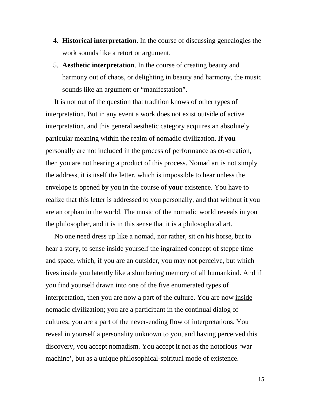- 4. **Historical interpretation**. In the course of discussing genealogies the work sounds like a retort or argument.
- 5. **Aesthetic interpretation**. In the course of creating beauty and harmony out of chaos, or delighting in beauty and harmony, the music sounds like an argument or "manifestation".

 It is not out of the question that tradition knows of other types of interpretation. But in any event a work does not exist outside of active interpretation, and this general aesthetic category acquires an absolutely particular meaning within the realm of nomadic civilization. If **you** personally are not included in the process of performance as co-creation, then you are not hearing a product of this process. Nomad art is not simply the address, it is itself the letter, which is impossible to hear unless the envelope is opened by you in the course of **your** existence. You have to realize that this letter is addressed to you personally, and that without it you are an orphan in the world. The music of the nomadic world reveals in you the philosopher, and it is in this sense that it is a philosophical art.

 No one need dress up like a nomad, nor rather, sit on his horse, but to hear a story, to sense inside yourself the ingrained concept of steppe time and space, which, if you are an outsider, you may not perceive, but which lives inside you latently like a slumbering memory of all humankind. And if you find yourself drawn into one of the five enumerated types of interpretation, then you are now a part of the culture. You are now inside nomadic civilization; you are a participant in the continual dialog of cultures; you are a part of the never-ending flow of interpretations. You reveal in yourself a personality unknown to you, and having perceived this discovery, you accept nomadism. You accept it not as the notorious 'war machine', but as a unique philosophical-spiritual mode of existence.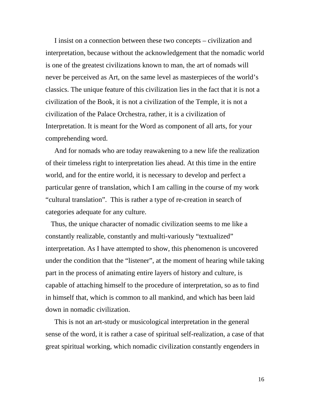I insist on a connection between these two concepts – civilization and interpretation, because without the acknowledgement that the nomadic world is one of the greatest civilizations known to man, the art of nomads will never be perceived as Art, on the same level as masterpieces of the world's classics. The unique feature of this civilization lies in the fact that it is not a civilization of the Book, it is not a civilization of the Temple, it is not a civilization of the Palace Orchestra, rather, it is a civilization of Interpretation. It is meant for the Word as component of all arts, for your comprehending word.

 And for nomads who are today reawakening to a new life the realization of their timeless right to interpretation lies ahead. At this time in the entire world, and for the entire world, it is necessary to develop and perfect a particular genre of translation, which I am calling in the course of my work "cultural translation". This is rather a type of re-creation in search of categories adequate for any culture.

 Thus, the unique character of nomadic civilization seems to me like a constantly realizable, constantly and multi-variously "textualized" interpretation. As I have attempted to show, this phenomenon is uncovered under the condition that the "listener", at the moment of hearing while taking part in the process of animating entire layers of history and culture, is capable of attaching himself to the procedure of interpretation, so as to find in himself that, which is common to all mankind, and which has been laid down in nomadic civilization.

 This is not an art-study or musicological interpretation in the general sense of the word, it is rather a case of spiritual self-realization, a case of that great spiritual working, which nomadic civilization constantly engenders in